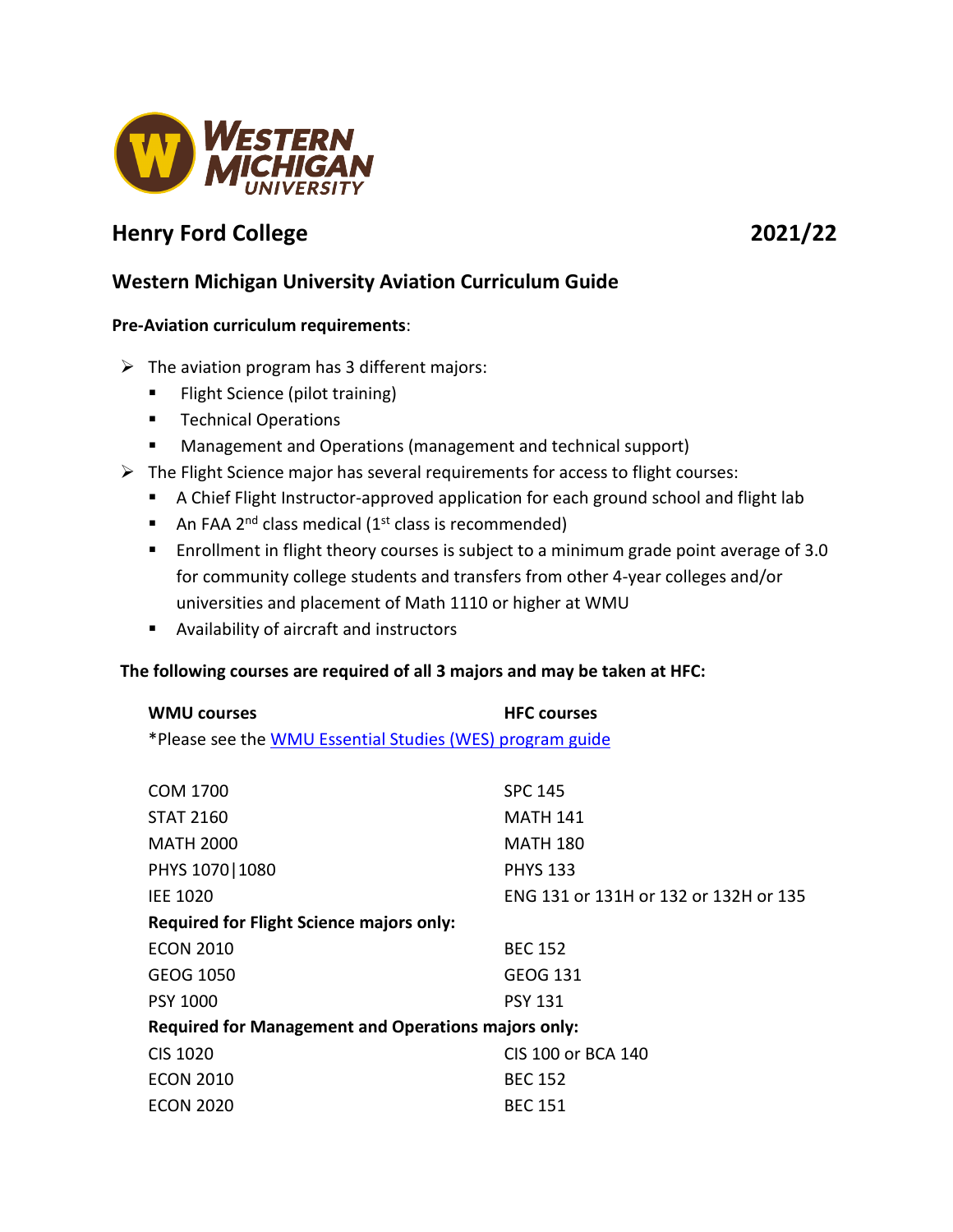

# **Henry Ford College 2021/22**

## **Western Michigan University Aviation Curriculum Guide**

### **Pre-Aviation curriculum requirements**:

- $\triangleright$  The aviation program has 3 different majors:
	- **Filight Science (pilot training)**
	- **Technical Operations**
	- Management and Operations (management and technical support)
- $\triangleright$  The Flight Science major has several requirements for access to flight courses:
	- A Chief Flight Instructor-approved application for each ground school and flight lab
	- An FAA 2<sup>nd</sup> class medical (1<sup>st</sup> class is recommended)
	- **Enrollment in flight theory courses is subject to a minimum grade point average of 3.0** for community college students and transfers from other 4-year colleges and/or universities and placement of Math 1110 or higher at WMU
	- Availability of aircraft and instructors

### **The following courses are required of all 3 majors and may be taken at HFC:**

| <b>WMU courses</b> | <b>HFC</b> courses                                        |  |
|--------------------|-----------------------------------------------------------|--|
|                    | *Please see the WMU Essential Studies (WES) program guide |  |

| COM 1700                                            | <b>SPC 145</b>                        |  |
|-----------------------------------------------------|---------------------------------------|--|
| <b>STAT 2160</b>                                    | <b>MATH 141</b>                       |  |
| <b>MATH 2000</b>                                    | <b>MATH 180</b>                       |  |
| PHYS 1070   1080                                    | <b>PHYS 133</b>                       |  |
| <b>IEE 1020</b>                                     | ENG 131 or 131H or 132 or 132H or 135 |  |
| <b>Required for Flight Science majors only:</b>     |                                       |  |
| <b>ECON 2010</b>                                    | <b>BEC 152</b>                        |  |
| GEOG 1050                                           | <b>GEOG 131</b>                       |  |
| <b>PSY 1000</b>                                     | <b>PSY 131</b>                        |  |
| Required for Management and Operations majors only: |                                       |  |
| <b>CIS 1020</b>                                     | CIS 100 or BCA 140                    |  |
| <b>ECON 2010</b>                                    | <b>BEC 152</b>                        |  |
| <b>ECON 2020</b>                                    | <b>BEC 151</b>                        |  |